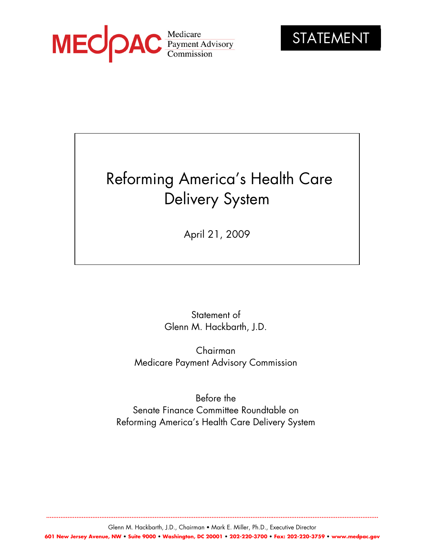



**...........................................................................................................................................................................................**

# Reforming America's Health Care Delivery System

April 21, 2009

Statement of Glenn M. Hackbarth, J.D.

Chairman Medicare Payment Advisory Commission

Before the Senate Finance Committee Roundtable on Reforming America's Health Care Delivery System

Glenn M. Hackbarth, J.D., Chairman • Mark E. Miller, Ph.D., Executive Director **601 New Jersey Avenue, NW • Suite 9000 • Washington, DC 20001 • 202-220-3700 • Fax: 202-220-3759 • www.medpac.gov**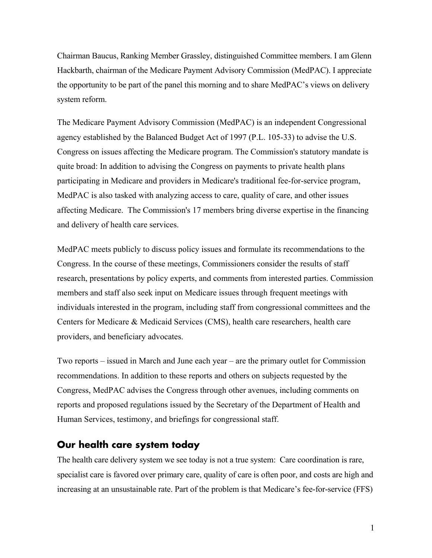Chairman Baucus, Ranking Member Grassley, distinguished Committee members. I am Glenn Hackbarth, chairman of the Medicare Payment Advisory Commission (MedPAC). I appreciate the opportunity to be part of the panel this morning and to share MedPAC's views on delivery system reform.

The Medicare Payment Advisory Commission (MedPAC) is an independent Congressional agency established by the Balanced Budget Act of 1997 (P.L. 105-33) to advise the U.S. Congress on issues affecting the Medicare program. The Commission's statutory mandate is quite broad: In addition to advising the Congress on payments to private health plans participating in Medicare and providers in Medicare's traditional fee-for-service program, MedPAC is also tasked with analyzing access to care, quality of care, and other issues affecting Medicare. The Commission's 17 members bring diverse expertise in the financing and delivery of health care services.

MedPAC meets publicly to discuss policy issues and formulate its recommendations to the Congress. In the course of these meetings, Commissioners consider the results of staff research, presentations by policy experts, and comments from interested parties. Commission members and staff also seek input on Medicare issues through frequent meetings with individuals interested in the program, including staff from congressional committees and the Centers for Medicare & Medicaid Services (CMS), health care researchers, health care providers, and beneficiary advocates.

Two reports – issued in March and June each year – are the primary outlet for Commission recommendations. In addition to these reports and others on subjects requested by the Congress, MedPAC advises the Congress through other avenues, including comments on reports and proposed regulations issued by the Secretary of the Department of Health and Human Services, testimony, and briefings for congressional staff.

## **Our health care system today**

The health care delivery system we see today is not a true system: Care coordination is rare, specialist care is favored over primary care, quality of care is often poor, and costs are high and increasing at an unsustainable rate. Part of the problem is that Medicare's fee-for-service (FFS)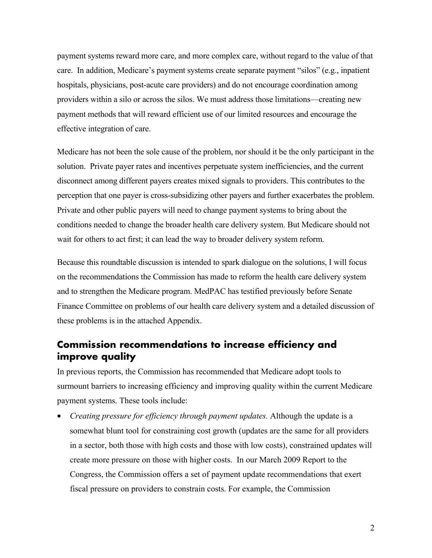payment systems reward more care, and more complex care, without regard to the value of that care. In addition, Medicare's payment systems create separate payment "silos" (e.g., inpatient hospitals, physicians, post-acute care providers) and do not encourage coordination among providers within a silo or across the silos. We must address those limitations—creating new payment methods that will reward efficient use of our limited resources and encourage the effective integration of care.

Medicare has not been the sole cause of the problem, nor should it be the only participant in the solution. Private payer rates and incentives perpetuate system inefficiencies, and the current disconnect among different payers creates mixed signals to providers. This contributes to the perception that one payer is cross-subsidizing other payers and further exacerbates the problem. Private and other public payers will need to change payment systems to bring about the conditions needed to change the broader health care delivery system. But Medicare should not wait for others to act first; it can lead the way to broader delivery system reform.

Because this roundtable discussion is intended to spark dialogue on the solutions, I will focus on the recommendations the Commission has made to reform the health care delivery system and to strengthen the Medicare program. MedPAC has testified previously before Senate Finance Committee on problems of our health care delivery system and a detailed discussion of these problems is in the attached Appendix.

# **Commission recommendations to increase efficiency and improve quality**

In previous reports, the Commission has recommended that Medicare adopt tools to surmount barriers to increasing efficiency and improving quality within the current Medicare payment systems. These tools include:

• *Creating pressure for efficiency through payment updates.* Although the update is a somewhat blunt tool for constraining cost growth (updates are the same for all providers in a sector, both those with high costs and those with low costs), constrained updates will create more pressure on those with higher costs. In our March 2009 Report to the Congress, the Commission offers a set of payment update recommendations that exert fiscal pressure on providers to constrain costs. For example, the Commission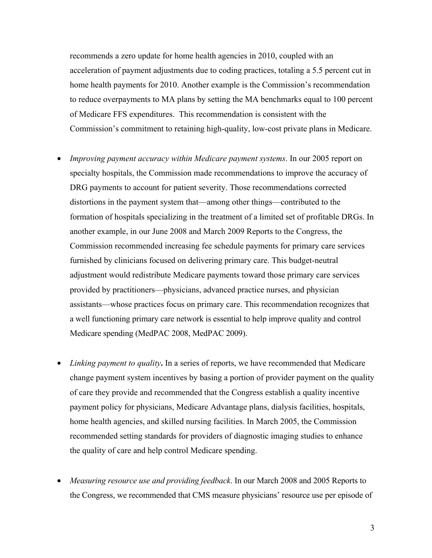recommends a zero update for home health agencies in 2010, coupled with an acceleration of payment adjustments due to coding practices, totaling a 5.5 percent cut in home health payments for 2010. Another example is the Commission's recommendation to reduce overpayments to MA plans by setting the MA benchmarks equal to 100 percent of Medicare FFS expenditures. This recommendation is consistent with the Commission's commitment to retaining high-quality, low-cost private plans in Medicare.

- *Improving payment accuracy within Medicare payment systems*. In our 2005 report on specialty hospitals, the Commission made recommendations to improve the accuracy of DRG payments to account for patient severity. Those recommendations corrected distortions in the payment system that—among other things—contributed to the formation of hospitals specializing in the treatment of a limited set of profitable DRGs. In another example, in our June 2008 and March 2009 Reports to the Congress, the Commission recommended increasing fee schedule payments for primary care services furnished by clinicians focused on delivering primary care. This budget-neutral adjustment would redistribute Medicare payments toward those primary care services provided by practitioners—physicians, advanced practice nurses, and physician assistants—whose practices focus on primary care. This recommendation recognizes that a well functioning primary care network is essential to help improve quality and control Medicare spending (MedPAC 2008, MedPAC 2009).
- *Linking payment to quality***.** In a series of reports, we have recommended that Medicare change payment system incentives by basing a portion of provider payment on the quality of care they provide and recommended that the Congress establish a quality incentive payment policy for physicians, Medicare Advantage plans, dialysis facilities, hospitals, home health agencies, and skilled nursing facilities. In March 2005, the Commission recommended setting standards for providers of diagnostic imaging studies to enhance the quality of care and help control Medicare spending.
- *Measuring resource use and providing feedback*. In our March 2008 and 2005 Reports to the Congress, we recommended that CMS measure physicians' resource use per episode of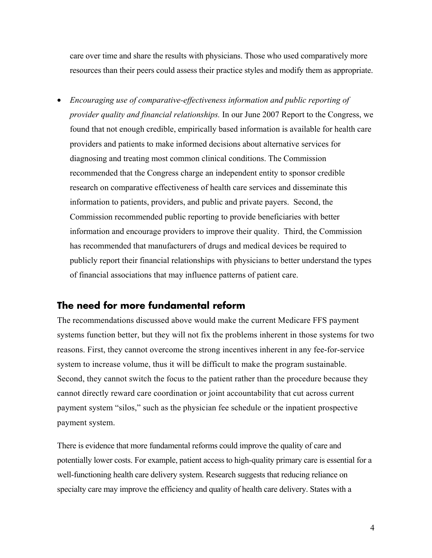care over time and share the results with physicians. Those who used comparatively more resources than their peers could assess their practice styles and modify them as appropriate.

• *Encouraging use of comparative-effectiveness information and public reporting of provider quality and financial relationships.* In our June 2007 Report to the Congress, we found that not enough credible, empirically based information is available for health care providers and patients to make informed decisions about alternative services for diagnosing and treating most common clinical conditions. The Commission recommended that the Congress charge an independent entity to sponsor credible research on comparative effectiveness of health care services and disseminate this information to patients, providers, and public and private payers. Second, the Commission recommended public reporting to provide beneficiaries with better information and encourage providers to improve their quality. Third, the Commission has recommended that manufacturers of drugs and medical devices be required to publicly report their financial relationships with physicians to better understand the types of financial associations that may influence patterns of patient care.

# **The need for more fundamental reform**

The recommendations discussed above would make the current Medicare FFS payment systems function better, but they will not fix the problems inherent in those systems for two reasons. First, they cannot overcome the strong incentives inherent in any fee-for-service system to increase volume, thus it will be difficult to make the program sustainable. Second, they cannot switch the focus to the patient rather than the procedure because they cannot directly reward care coordination or joint accountability that cut across current payment system "silos," such as the physician fee schedule or the inpatient prospective payment system.

There is evidence that more fundamental reforms could improve the quality of care and potentially lower costs. For example, patient access to high-quality primary care is essential for a well-functioning health care delivery system. Research suggests that reducing reliance on specialty care may improve the efficiency and quality of health care delivery. States with a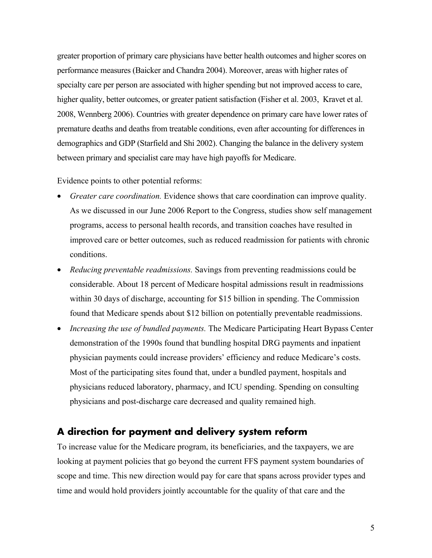greater proportion of primary care physicians have better health outcomes and higher scores on performance measures (Baicker and Chandra 2004). Moreover, areas with higher rates of specialty care per person are associated with higher spending but not improved access to care, higher quality, better outcomes, or greater patient satisfaction (Fisher et al. 2003, Kravet et al. 2008, Wennberg 2006). Countries with greater dependence on primary care have lower rates of premature deaths and deaths from treatable conditions, even after accounting for differences in demographics and GDP (Starfield and Shi 2002). Changing the balance in the delivery system between primary and specialist care may have high payoffs for Medicare.

Evidence points to other potential reforms:

- *Greater care coordination.* Evidence shows that care coordination can improve quality. As we discussed in our June 2006 Report to the Congress, studies show self management programs, access to personal health records, and transition coaches have resulted in improved care or better outcomes, such as reduced readmission for patients with chronic conditions.
- *Reducing preventable readmissions.* Savings from preventing readmissions could be considerable. About 18 percent of Medicare hospital admissions result in readmissions within 30 days of discharge, accounting for \$15 billion in spending. The Commission found that Medicare spends about \$12 billion on potentially preventable readmissions.
- *Increasing the use of bundled payments.* The Medicare Participating Heart Bypass Center demonstration of the 1990s found that bundling hospital DRG payments and inpatient physician payments could increase providers' efficiency and reduce Medicare's costs. Most of the participating sites found that, under a bundled payment, hospitals and physicians reduced laboratory, pharmacy, and ICU spending. Spending on consulting physicians and post-discharge care decreased and quality remained high.

## **A direction for payment and delivery system reform**

To increase value for the Medicare program, its beneficiaries, and the taxpayers, we are looking at payment policies that go beyond the current FFS payment system boundaries of scope and time. This new direction would pay for care that spans across provider types and time and would hold providers jointly accountable for the quality of that care and the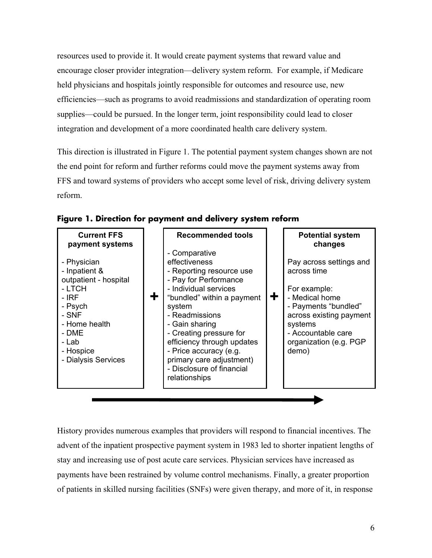resources used to provide it. It would create payment systems that reward value and encourage closer provider integration—delivery system reform. For example, if Medicare held physicians and hospitals jointly responsible for outcomes and resource use, new efficiencies—such as programs to avoid readmissions and standardization of operating room supplies—could be pursued. In the longer term, joint responsibility could lead to closer integration and development of a more coordinated health care delivery system.

This direction is illustrated in Figure 1. The potential payment system changes shown are not the end point for reform and further reforms could move the payment systems away from FFS and toward systems of providers who accept some level of risk, driving delivery system reform.

| <b>Current FFS</b><br>payment systems                                                                                                                               | <b>Recommended tools</b>                                                                                                                                                                                                                                                                                                                              |   | <b>Potential system</b><br>changes                                                                                                                                                              |
|---------------------------------------------------------------------------------------------------------------------------------------------------------------------|-------------------------------------------------------------------------------------------------------------------------------------------------------------------------------------------------------------------------------------------------------------------------------------------------------------------------------------------------------|---|-------------------------------------------------------------------------------------------------------------------------------------------------------------------------------------------------|
| - Physician<br>- Inpatient &<br>outpatient - hospital<br>- LTCH<br>- IRF<br>- Psych<br>- SNF<br>- Home health<br>- DME<br>- Lab<br>- Hospice<br>- Dialysis Services | - Comparative<br>effectiveness<br>- Reporting resource use<br>- Pay for Performance<br>- Individual services<br>"bundled" within a payment<br>system<br>- Readmissions<br>- Gain sharing<br>- Creating pressure for<br>efficiency through updates<br>- Price accuracy (e.g.<br>primary care adjustment)<br>- Disclosure of financial<br>relationships | ╋ | Pay across settings and<br>across time<br>For example:<br>- Medical home<br>- Payments "bundled"<br>across existing payment<br>systems<br>- Accountable care<br>organization (e.g. PGP<br>demo) |
|                                                                                                                                                                     |                                                                                                                                                                                                                                                                                                                                                       |   |                                                                                                                                                                                                 |

**Figure 1. Direction for payment and delivery system reform** 

History provides numerous examples that providers will respond to financial incentives. The advent of the inpatient prospective payment system in 1983 led to shorter inpatient lengths of stay and increasing use of post acute care services. Physician services have increased as payments have been restrained by volume control mechanisms. Finally, a greater proportion of patients in skilled nursing facilities (SNFs) were given therapy, and more of it, in response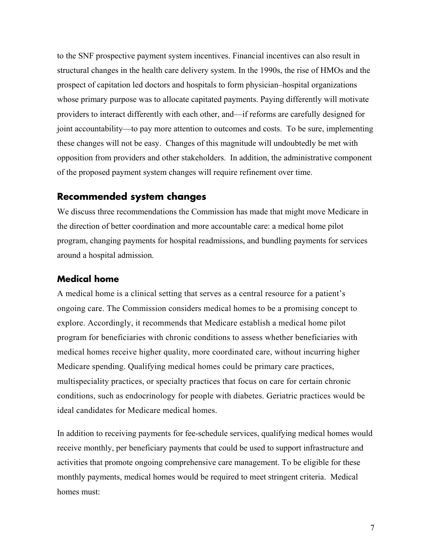to the SNF prospective payment system incentives. Financial incentives can also result in structural changes in the health care delivery system. In the 1990s, the rise of HMOs and the prospect of capitation led doctors and hospitals to form physician–hospital organizations whose primary purpose was to allocate capitated payments. Paying differently will motivate providers to interact differently with each other, and—if reforms are carefully designed for joint accountability—to pay more attention to outcomes and costs. To be sure, implementing these changes will not be easy. Changes of this magnitude will undoubtedly be met with opposition from providers and other stakeholders. In addition, the administrative component of the proposed payment system changes will require refinement over time.

## **Recommended system changes**

We discuss three recommendations the Commission has made that might move Medicare in the direction of better coordination and more accountable care: a medical home pilot program, changing payments for hospital readmissions, and bundling payments for services around a hospital admission.

## **Medical home**

A medical home is a clinical setting that serves as a central resource for a patient's ongoing care. The Commission considers medical homes to be a promising concept to explore. Accordingly, it recommends that Medicare establish a medical home pilot program for beneficiaries with chronic conditions to assess whether beneficiaries with medical homes receive higher quality, more coordinated care, without incurring higher Medicare spending. Qualifying medical homes could be primary care practices, multispeciality practices, or specialty practices that focus on care for certain chronic conditions, such as endocrinology for people with diabetes. Geriatric practices would be ideal candidates for Medicare medical homes.

In addition to receiving payments for fee-schedule services, qualifying medical homes would receive monthly, per beneficiary payments that could be used to support infrastructure and activities that promote ongoing comprehensive care management. To be eligible for these monthly payments, medical homes would be required to meet stringent criteria. Medical homes must: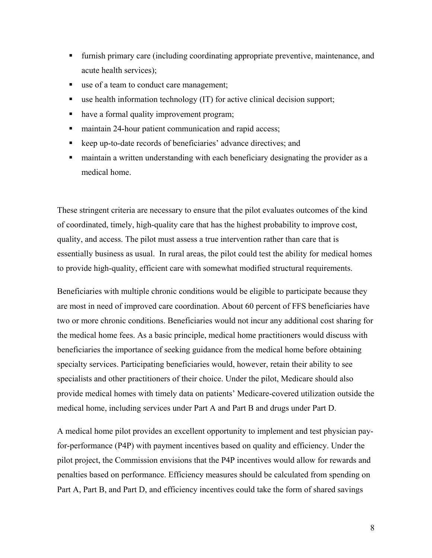- furnish primary care (including coordinating appropriate preventive, maintenance, and acute health services);
- use of a team to conduct care management;
- use health information technology (IT) for active clinical decision support;
- have a formal quality improvement program;
- maintain 24-hour patient communication and rapid access;
- keep up-to-date records of beneficiaries' advance directives; and
- maintain a written understanding with each beneficiary designating the provider as a medical home.

These stringent criteria are necessary to ensure that the pilot evaluates outcomes of the kind of coordinated, timely, high-quality care that has the highest probability to improve cost, quality, and access. The pilot must assess a true intervention rather than care that is essentially business as usual. In rural areas, the pilot could test the ability for medical homes to provide high-quality, efficient care with somewhat modified structural requirements.

Beneficiaries with multiple chronic conditions would be eligible to participate because they are most in need of improved care coordination. About 60 percent of FFS beneficiaries have two or more chronic conditions. Beneficiaries would not incur any additional cost sharing for the medical home fees. As a basic principle, medical home practitioners would discuss with beneficiaries the importance of seeking guidance from the medical home before obtaining specialty services. Participating beneficiaries would, however, retain their ability to see specialists and other practitioners of their choice. Under the pilot, Medicare should also provide medical homes with timely data on patients' Medicare-covered utilization outside the medical home, including services under Part A and Part B and drugs under Part D.

A medical home pilot provides an excellent opportunity to implement and test physician payfor-performance (P4P) with payment incentives based on quality and efficiency. Under the pilot project, the Commission envisions that the P4P incentives would allow for rewards and penalties based on performance. Efficiency measures should be calculated from spending on Part A, Part B, and Part D, and efficiency incentives could take the form of shared savings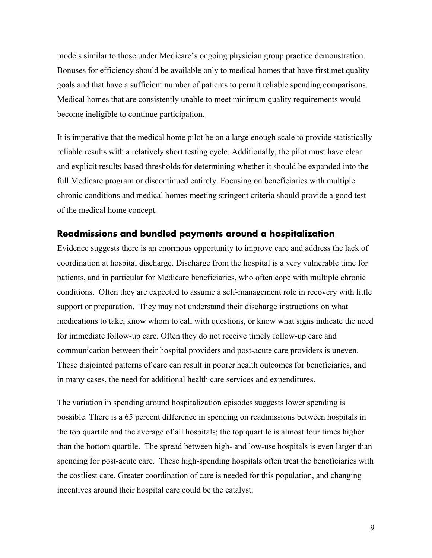models similar to those under Medicare's ongoing physician group practice demonstration. Bonuses for efficiency should be available only to medical homes that have first met quality goals and that have a sufficient number of patients to permit reliable spending comparisons. Medical homes that are consistently unable to meet minimum quality requirements would become ineligible to continue participation.

It is imperative that the medical home pilot be on a large enough scale to provide statistically reliable results with a relatively short testing cycle. Additionally, the pilot must have clear and explicit results-based thresholds for determining whether it should be expanded into the full Medicare program or discontinued entirely. Focusing on beneficiaries with multiple chronic conditions and medical homes meeting stringent criteria should provide a good test of the medical home concept.

## **Readmissions and bundled payments around a hospitalization**

Evidence suggests there is an enormous opportunity to improve care and address the lack of coordination at hospital discharge. Discharge from the hospital is a very vulnerable time for patients, and in particular for Medicare beneficiaries, who often cope with multiple chronic conditions. Often they are expected to assume a self-management role in recovery with little support or preparation. They may not understand their discharge instructions on what medications to take, know whom to call with questions, or know what signs indicate the need for immediate follow-up care. Often they do not receive timely follow-up care and communication between their hospital providers and post-acute care providers is uneven. These disjointed patterns of care can result in poorer health outcomes for beneficiaries, and in many cases, the need for additional health care services and expenditures.

The variation in spending around hospitalization episodes suggests lower spending is possible. There is a 65 percent difference in spending on readmissions between hospitals in the top quartile and the average of all hospitals; the top quartile is almost four times higher than the bottom quartile. The spread between high- and low-use hospitals is even larger than spending for post-acute care. These high-spending hospitals often treat the beneficiaries with the costliest care. Greater coordination of care is needed for this population, and changing incentives around their hospital care could be the catalyst.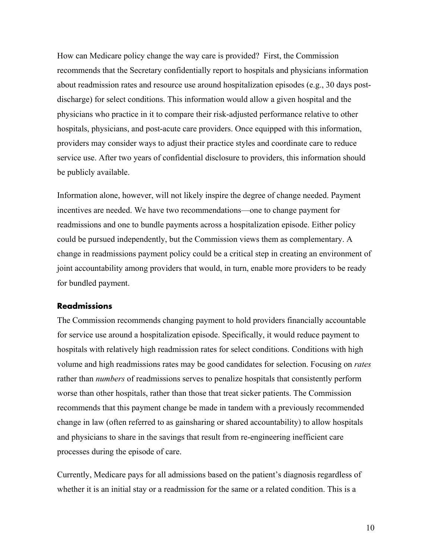How can Medicare policy change the way care is provided? First, the Commission recommends that the Secretary confidentially report to hospitals and physicians information about readmission rates and resource use around hospitalization episodes (e.g., 30 days postdischarge) for select conditions. This information would allow a given hospital and the physicians who practice in it to compare their risk-adjusted performance relative to other hospitals, physicians, and post-acute care providers. Once equipped with this information, providers may consider ways to adjust their practice styles and coordinate care to reduce service use. After two years of confidential disclosure to providers, this information should be publicly available.

Information alone, however, will not likely inspire the degree of change needed. Payment incentives are needed. We have two recommendations—one to change payment for readmissions and one to bundle payments across a hospitalization episode. Either policy could be pursued independently, but the Commission views them as complementary. A change in readmissions payment policy could be a critical step in creating an environment of joint accountability among providers that would, in turn, enable more providers to be ready for bundled payment.

## **Readmissions**

The Commission recommends changing payment to hold providers financially accountable for service use around a hospitalization episode. Specifically, it would reduce payment to hospitals with relatively high readmission rates for select conditions. Conditions with high volume and high readmissions rates may be good candidates for selection. Focusing on *rates* rather than *numbers* of readmissions serves to penalize hospitals that consistently perform worse than other hospitals, rather than those that treat sicker patients. The Commission recommends that this payment change be made in tandem with a previously recommended change in law (often referred to as gainsharing or shared accountability) to allow hospitals and physicians to share in the savings that result from re-engineering inefficient care processes during the episode of care.

Currently, Medicare pays for all admissions based on the patient's diagnosis regardless of whether it is an initial stay or a readmission for the same or a related condition. This is a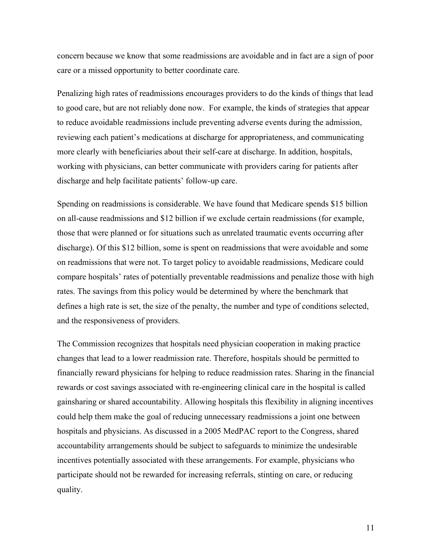concern because we know that some readmissions are avoidable and in fact are a sign of poor care or a missed opportunity to better coordinate care.

Penalizing high rates of readmissions encourages providers to do the kinds of things that lead to good care, but are not reliably done now. For example, the kinds of strategies that appear to reduce avoidable readmissions include preventing adverse events during the admission, reviewing each patient's medications at discharge for appropriateness, and communicating more clearly with beneficiaries about their self-care at discharge. In addition, hospitals, working with physicians, can better communicate with providers caring for patients after discharge and help facilitate patients' follow-up care.

Spending on readmissions is considerable. We have found that Medicare spends \$15 billion on all-cause readmissions and \$12 billion if we exclude certain readmissions (for example, those that were planned or for situations such as unrelated traumatic events occurring after discharge). Of this \$12 billion, some is spent on readmissions that were avoidable and some on readmissions that were not. To target policy to avoidable readmissions, Medicare could compare hospitals' rates of potentially preventable readmissions and penalize those with high rates. The savings from this policy would be determined by where the benchmark that defines a high rate is set, the size of the penalty, the number and type of conditions selected, and the responsiveness of providers.

The Commission recognizes that hospitals need physician cooperation in making practice changes that lead to a lower readmission rate. Therefore, hospitals should be permitted to financially reward physicians for helping to reduce readmission rates. Sharing in the financial rewards or cost savings associated with re-engineering clinical care in the hospital is called gainsharing or shared accountability. Allowing hospitals this flexibility in aligning incentives could help them make the goal of reducing unnecessary readmissions a joint one between hospitals and physicians. As discussed in a 2005 MedPAC report to the Congress, shared accountability arrangements should be subject to safeguards to minimize the undesirable incentives potentially associated with these arrangements. For example, physicians who participate should not be rewarded for increasing referrals, stinting on care, or reducing quality.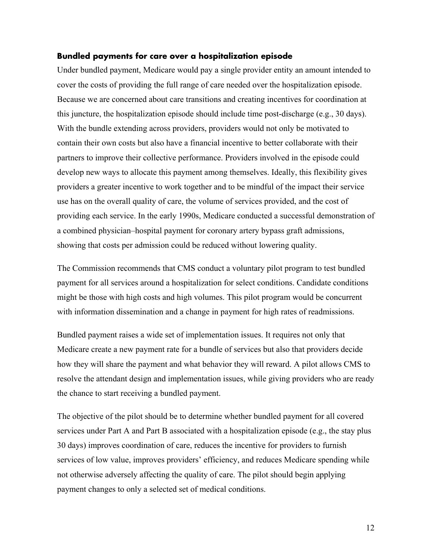#### **Bundled payments for care over a hospitalization episode**

Under bundled payment, Medicare would pay a single provider entity an amount intended to cover the costs of providing the full range of care needed over the hospitalization episode. Because we are concerned about care transitions and creating incentives for coordination at this juncture, the hospitalization episode should include time post-discharge (e.g., 30 days). With the bundle extending across providers, providers would not only be motivated to contain their own costs but also have a financial incentive to better collaborate with their partners to improve their collective performance. Providers involved in the episode could develop new ways to allocate this payment among themselves. Ideally, this flexibility gives providers a greater incentive to work together and to be mindful of the impact their service use has on the overall quality of care, the volume of services provided, and the cost of providing each service. In the early 1990s, Medicare conducted a successful demonstration of a combined physician–hospital payment for coronary artery bypass graft admissions, showing that costs per admission could be reduced without lowering quality.

The Commission recommends that CMS conduct a voluntary pilot program to test bundled payment for all services around a hospitalization for select conditions. Candidate conditions might be those with high costs and high volumes. This pilot program would be concurrent with information dissemination and a change in payment for high rates of readmissions.

Bundled payment raises a wide set of implementation issues. It requires not only that Medicare create a new payment rate for a bundle of services but also that providers decide how they will share the payment and what behavior they will reward. A pilot allows CMS to resolve the attendant design and implementation issues, while giving providers who are ready the chance to start receiving a bundled payment.

The objective of the pilot should be to determine whether bundled payment for all covered services under Part A and Part B associated with a hospitalization episode (e.g., the stay plus 30 days) improves coordination of care, reduces the incentive for providers to furnish services of low value, improves providers' efficiency, and reduces Medicare spending while not otherwise adversely affecting the quality of care. The pilot should begin applying payment changes to only a selected set of medical conditions.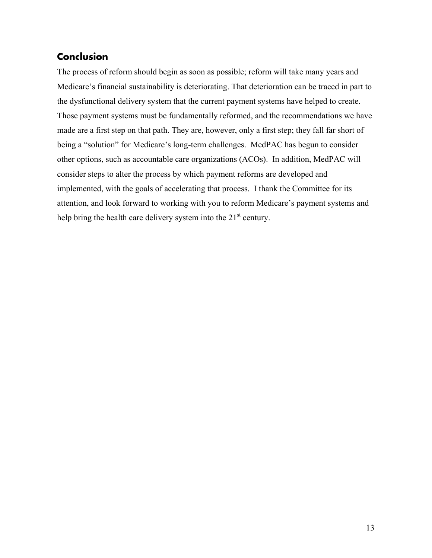# **Conclusion**

The process of reform should begin as soon as possible; reform will take many years and Medicare's financial sustainability is deteriorating. That deterioration can be traced in part to the dysfunctional delivery system that the current payment systems have helped to create. Those payment systems must be fundamentally reformed, and the recommendations we have made are a first step on that path. They are, however, only a first step; they fall far short of being a "solution" for Medicare's long-term challenges. MedPAC has begun to consider other options, such as accountable care organizations (ACOs). In addition, MedPAC will consider steps to alter the process by which payment reforms are developed and implemented, with the goals of accelerating that process. I thank the Committee for its attention, and look forward to working with you to reform Medicare's payment systems and help bring the health care delivery system into the  $21<sup>st</sup>$  century.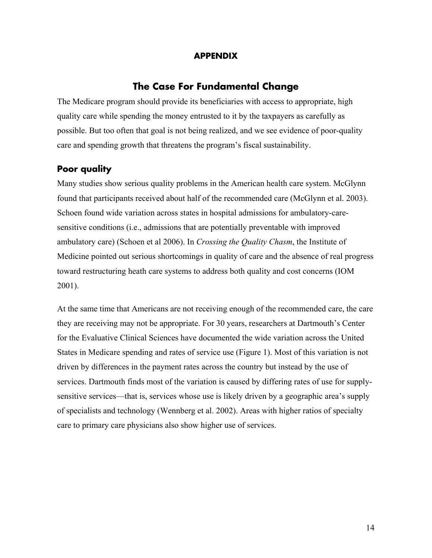## **APPENDIX**

## **The Case For Fundamental Change**

The Medicare program should provide its beneficiaries with access to appropriate, high quality care while spending the money entrusted to it by the taxpayers as carefully as possible. But too often that goal is not being realized, and we see evidence of poor-quality care and spending growth that threatens the program's fiscal sustainability.

## **Poor quality**

Many studies show serious quality problems in the American health care system. McGlynn found that participants received about half of the recommended care (McGlynn et al. 2003). Schoen found wide variation across states in hospital admissions for ambulatory-caresensitive conditions (i.e., admissions that are potentially preventable with improved ambulatory care) (Schoen et al 2006). In *Crossing the Quality Chasm*, the Institute of Medicine pointed out serious shortcomings in quality of care and the absence of real progress toward restructuring heath care systems to address both quality and cost concerns (IOM 2001).

At the same time that Americans are not receiving enough of the recommended care, the care they are receiving may not be appropriate. For 30 years, researchers at Dartmouth's Center for the Evaluative Clinical Sciences have documented the wide variation across the United States in Medicare spending and rates of service use (Figure 1). Most of this variation is not driven by differences in the payment rates across the country but instead by the use of services. Dartmouth finds most of the variation is caused by differing rates of use for supplysensitive services—that is, services whose use is likely driven by a geographic area's supply of specialists and technology (Wennberg et al. 2002). Areas with higher ratios of specialty care to primary care physicians also show higher use of services.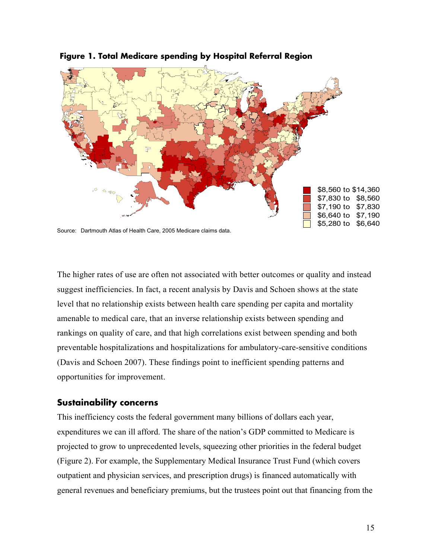

 **Figure 1. Total Medicare spending by Hospital Referral Region** 

Source: Dartmouth Atlas of Health Care, 2005 Medicare claims data.

The higher rates of use are often not associated with better outcomes or quality and instead suggest inefficiencies. In fact, a recent analysis by Davis and Schoen shows at the state level that no relationship exists between health care spending per capita and mortality amenable to medical care, that an inverse relationship exists between spending and rankings on quality of care, and that high correlations exist between spending and both preventable hospitalizations and hospitalizations for ambulatory-care-sensitive conditions (Davis and Schoen 2007). These findings point to inefficient spending patterns and opportunities for improvement.

## **Sustainability concerns**

This inefficiency costs the federal government many billions of dollars each year, expenditures we can ill afford. The share of the nation's GDP committed to Medicare is projected to grow to unprecedented levels, squeezing other priorities in the federal budget (Figure 2). For example, the Supplementary Medical Insurance Trust Fund (which covers outpatient and physician services, and prescription drugs) is financed automatically with general revenues and beneficiary premiums, but the trustees point out that financing from the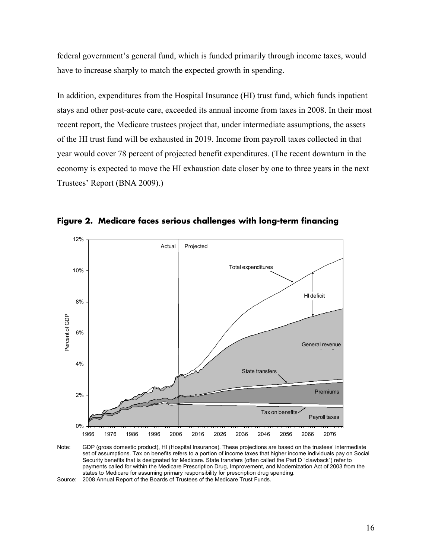federal government's general fund, which is funded primarily through income taxes, would have to increase sharply to match the expected growth in spending.

In addition, expenditures from the Hospital Insurance (HI) trust fund, which funds inpatient stays and other post-acute care, exceeded its annual income from taxes in 2008. In their most recent report, the Medicare trustees project that, under intermediate assumptions, the assets of the HI trust fund will be exhausted in 2019. Income from payroll taxes collected in that year would cover 78 percent of projected benefit expenditures. (The recent downturn in the economy is expected to move the HI exhaustion date closer by one to three years in the next Trustees' Report (BNA 2009).)



**Figure 2. Medicare faces serious challenges with long-term financing** 

Source: 2008 Annual Report of the Boards of Trustees of the Medicare Trust Funds.

Note: GDP (gross domestic product), HI (Hospital Insurance). These projections are based on the trustees' intermediate set of assumptions. Tax on benefits refers to a portion of income taxes that higher income individuals pay on Social Security benefits that is designated for Medicare. State transfers (often called the Part D "clawback") refer to payments called for within the Medicare Prescription Drug, Improvement, and Modernization Act of 2003 from the states to Medicare for assuming primary responsibility for prescription drug spending.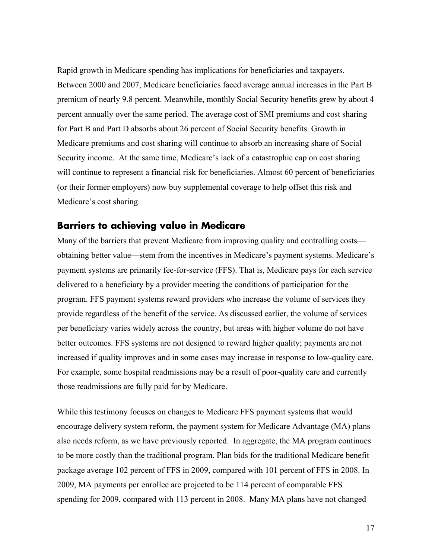Rapid growth in Medicare spending has implications for beneficiaries and taxpayers. Between 2000 and 2007, Medicare beneficiaries faced average annual increases in the Part B premium of nearly 9.8 percent. Meanwhile, monthly Social Security benefits grew by about 4 percent annually over the same period. The average cost of SMI premiums and cost sharing for Part B and Part D absorbs about 26 percent of Social Security benefits. Growth in Medicare premiums and cost sharing will continue to absorb an increasing share of Social Security income. At the same time, Medicare's lack of a catastrophic cap on cost sharing will continue to represent a financial risk for beneficiaries. Almost 60 percent of beneficiaries (or their former employers) now buy supplemental coverage to help offset this risk and Medicare's cost sharing.

## **Barriers to achieving value in Medicare**

Many of the barriers that prevent Medicare from improving quality and controlling costs obtaining better value—stem from the incentives in Medicare's payment systems. Medicare's payment systems are primarily fee-for-service (FFS). That is, Medicare pays for each service delivered to a beneficiary by a provider meeting the conditions of participation for the program. FFS payment systems reward providers who increase the volume of services they provide regardless of the benefit of the service. As discussed earlier, the volume of services per beneficiary varies widely across the country, but areas with higher volume do not have better outcomes. FFS systems are not designed to reward higher quality; payments are not increased if quality improves and in some cases may increase in response to low-quality care. For example, some hospital readmissions may be a result of poor-quality care and currently those readmissions are fully paid for by Medicare.

While this testimony focuses on changes to Medicare FFS payment systems that would encourage delivery system reform, the payment system for Medicare Advantage (MA) plans also needs reform, as we have previously reported. In aggregate, the MA program continues to be more costly than the traditional program. Plan bids for the traditional Medicare benefit package average 102 percent of FFS in 2009, compared with 101 percent of FFS in 2008. In 2009, MA payments per enrollee are projected to be 114 percent of comparable FFS spending for 2009, compared with 113 percent in 2008. Many MA plans have not changed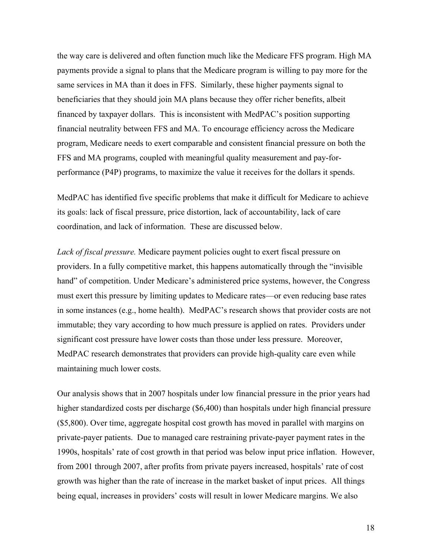the way care is delivered and often function much like the Medicare FFS program. High MA payments provide a signal to plans that the Medicare program is willing to pay more for the same services in MA than it does in FFS. Similarly, these higher payments signal to beneficiaries that they should join MA plans because they offer richer benefits, albeit financed by taxpayer dollars. This is inconsistent with MedPAC's position supporting financial neutrality between FFS and MA. To encourage efficiency across the Medicare program, Medicare needs to exert comparable and consistent financial pressure on both the FFS and MA programs, coupled with meaningful quality measurement and pay-forperformance (P4P) programs, to maximize the value it receives for the dollars it spends.

MedPAC has identified five specific problems that make it difficult for Medicare to achieve its goals: lack of fiscal pressure, price distortion, lack of accountability, lack of care coordination, and lack of information. These are discussed below.

*Lack of fiscal pressure.* Medicare payment policies ought to exert fiscal pressure on providers. In a fully competitive market, this happens automatically through the "invisible hand" of competition. Under Medicare's administered price systems, however, the Congress must exert this pressure by limiting updates to Medicare rates—or even reducing base rates in some instances (e.g., home health). MedPAC's research shows that provider costs are not immutable; they vary according to how much pressure is applied on rates. Providers under significant cost pressure have lower costs than those under less pressure. Moreover, MedPAC research demonstrates that providers can provide high-quality care even while maintaining much lower costs.

Our analysis shows that in 2007 hospitals under low financial pressure in the prior years had higher standardized costs per discharge (\$6,400) than hospitals under high financial pressure (\$5,800). Over time, aggregate hospital cost growth has moved in parallel with margins on private-payer patients. Due to managed care restraining private-payer payment rates in the 1990s, hospitals' rate of cost growth in that period was below input price inflation. However, from 2001 through 2007, after profits from private payers increased, hospitals' rate of cost growth was higher than the rate of increase in the market basket of input prices. All things being equal, increases in providers' costs will result in lower Medicare margins. We also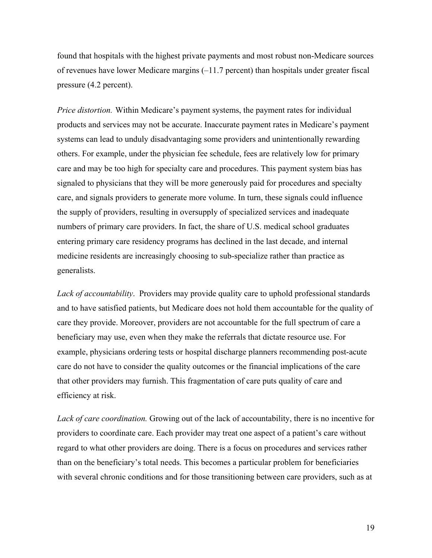found that hospitals with the highest private payments and most robust non-Medicare sources of revenues have lower Medicare margins (–11.7 percent) than hospitals under greater fiscal pressure (4.2 percent).

*Price distortion.* Within Medicare's payment systems, the payment rates for individual products and services may not be accurate. Inaccurate payment rates in Medicare's payment systems can lead to unduly disadvantaging some providers and unintentionally rewarding others. For example, under the physician fee schedule, fees are relatively low for primary care and may be too high for specialty care and procedures. This payment system bias has signaled to physicians that they will be more generously paid for procedures and specialty care, and signals providers to generate more volume. In turn, these signals could influence the supply of providers, resulting in oversupply of specialized services and inadequate numbers of primary care providers. In fact, the share of U.S. medical school graduates entering primary care residency programs has declined in the last decade, and internal medicine residents are increasingly choosing to sub-specialize rather than practice as generalists.

*Lack of accountability*. Providers may provide quality care to uphold professional standards and to have satisfied patients, but Medicare does not hold them accountable for the quality of care they provide. Moreover, providers are not accountable for the full spectrum of care a beneficiary may use, even when they make the referrals that dictate resource use. For example, physicians ordering tests or hospital discharge planners recommending post-acute care do not have to consider the quality outcomes or the financial implications of the care that other providers may furnish. This fragmentation of care puts quality of care and efficiency at risk.

*Lack of care coordination.* Growing out of the lack of accountability, there is no incentive for providers to coordinate care. Each provider may treat one aspect of a patient's care without regard to what other providers are doing. There is a focus on procedures and services rather than on the beneficiary's total needs. This becomes a particular problem for beneficiaries with several chronic conditions and for those transitioning between care providers, such as at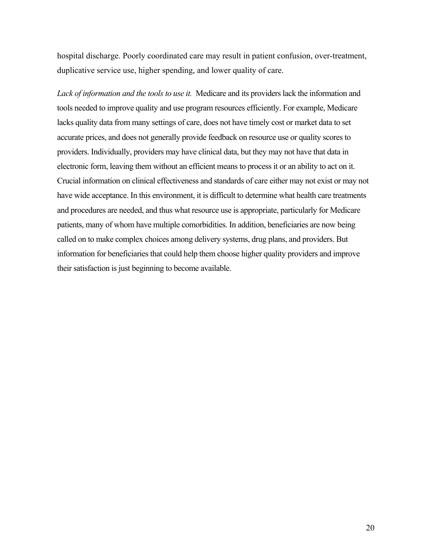hospital discharge. Poorly coordinated care may result in patient confusion, over-treatment, duplicative service use, higher spending, and lower quality of care.

*Lack of information and the tools to use it.* Medicare and its providers lack the information and tools needed to improve quality and use program resources efficiently. For example, Medicare lacks quality data from many settings of care, does not have timely cost or market data to set accurate prices, and does not generally provide feedback on resource use or quality scores to providers. Individually, providers may have clinical data, but they may not have that data in electronic form, leaving them without an efficient means to process it or an ability to act on it. Crucial information on clinical effectiveness and standards of care either may not exist or may not have wide acceptance. In this environment, it is difficult to determine what health care treatments and procedures are needed, and thus what resource use is appropriate, particularly for Medicare patients, many of whom have multiple comorbidities. In addition, beneficiaries are now being called on to make complex choices among delivery systems, drug plans, and providers. But information for beneficiaries that could help them choose higher quality providers and improve their satisfaction is just beginning to become available.